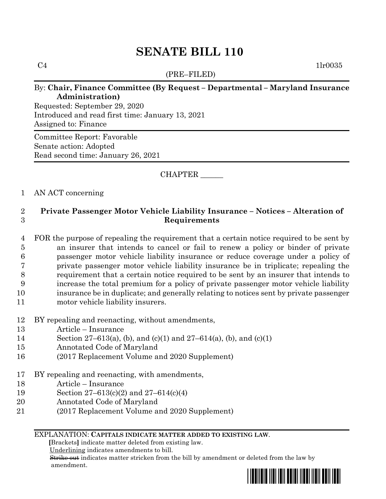# **SENATE BILL 110**

(PRE–FILED)

 $C4$  1lr0035

## By: **Chair, Finance Committee (By Request – Departmental – Maryland Insurance Administration)**

Requested: September 29, 2020 Introduced and read first time: January 13, 2021 Assigned to: Finance

Committee Report: Favorable Senate action: Adopted Read second time: January 26, 2021

# CHAPTER \_\_\_\_\_\_

### 1 AN ACT concerning

# 2 **Private Passenger Motor Vehicle Liability Insurance – Notices – Alteration of**  3 **Requirements**

- 4 FOR the purpose of repealing the requirement that a certain notice required to be sent by 5 an insurer that intends to cancel or fail to renew a policy or binder of private 6 passenger motor vehicle liability insurance or reduce coverage under a policy of 7 private passenger motor vehicle liability insurance be in triplicate; repealing the 8 requirement that a certain notice required to be sent by an insurer that intends to 9 increase the total premium for a policy of private passenger motor vehicle liability 10 insurance be in duplicate; and generally relating to notices sent by private passenger 11 motor vehicle liability insurers.
- 12 BY repealing and reenacting, without amendments,
- 13 Article Insurance
- 14 Section 27–613(a), (b), and (c)(1) and 27–614(a), (b), and (c)(1)
- 15 Annotated Code of Maryland
- 16 (2017 Replacement Volume and 2020 Supplement)
- 17 BY repealing and reenacting, with amendments,
- 18 Article Insurance
- 19 Section 27–613(c)(2) and 27–614(c)(4)
- 20 Annotated Code of Maryland
- 21 (2017 Replacement Volume and 2020 Supplement)

#### EXPLANATION: **CAPITALS INDICATE MATTER ADDED TO EXISTING LAW**.

 **[**Brackets**]** indicate matter deleted from existing law.

Underlining indicates amendments to bill.

 Strike out indicates matter stricken from the bill by amendment or deleted from the law by amendment.

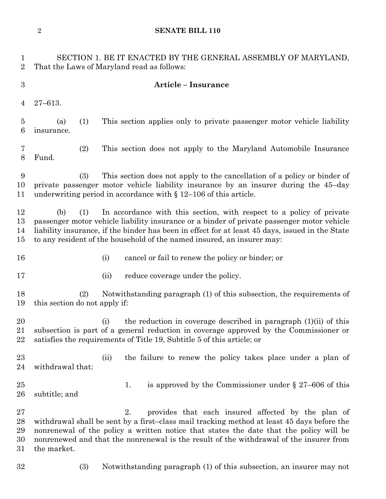**SENATE BILL 110**

 SECTION 1. BE IT ENACTED BY THE GENERAL ASSEMBLY OF MARYLAND, That the Laws of Maryland read as follows: **Article – Insurance** 27–613. (a) (1) This section applies only to private passenger motor vehicle liability insurance. (2) This section does not apply to the Maryland Automobile Insurance Fund. (3) This section does not apply to the cancellation of a policy or binder of private passenger motor vehicle liability insurance by an insurer during the 45–day underwriting period in accordance with § 12–106 of this article. (b) (1) In accordance with this section, with respect to a policy of private passenger motor vehicle liability insurance or a binder of private passenger motor vehicle liability insurance, if the binder has been in effect for at least 45 days, issued in the State to any resident of the household of the named insured, an insurer may: (i) cancel or fail to renew the policy or binder; or 17 (ii) reduce coverage under the policy. (2) Notwithstanding paragraph (1) of this subsection, the requirements of this section do not apply if: (i) the reduction in coverage described in paragraph (1)(ii) of this subsection is part of a general reduction in coverage approved by the Commissioner or satisfies the requirements of Title 19, Subtitle 5 of this article; or (ii) the failure to renew the policy takes place under a plan of withdrawal that: 25 25 1. is approved by the Commissioner under § 27–606 of this subtitle; and 2. provides that each insured affected by the plan of withdrawal shall be sent by a first–class mail tracking method at least 45 days before the nonrenewal of the policy a written notice that states the date that the policy will be nonrenewed and that the nonrenewal is the result of the withdrawal of the insurer from the market. (3) Notwithstanding paragraph (1) of this subsection, an insurer may not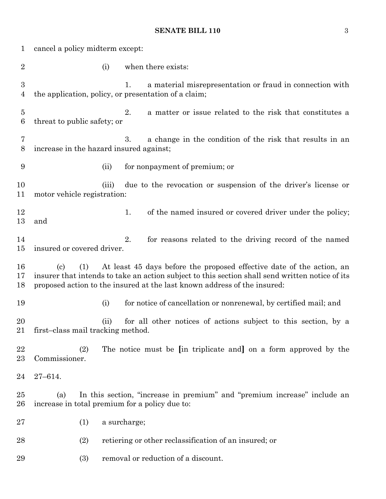# **SENATE BILL 110** 3

| 1                                  | cancel a policy midterm except:                                                                                                                                                                                                                                                           |                                                                                                                        |
|------------------------------------|-------------------------------------------------------------------------------------------------------------------------------------------------------------------------------------------------------------------------------------------------------------------------------------------|------------------------------------------------------------------------------------------------------------------------|
| $\overline{2}$                     | (i)                                                                                                                                                                                                                                                                                       | when there exists:                                                                                                     |
| $\boldsymbol{3}$<br>$\overline{4}$ |                                                                                                                                                                                                                                                                                           | a material misrepresentation or fraud in connection with<br>1.<br>the application, policy, or presentation of a claim; |
| $\overline{5}$<br>$\boldsymbol{6}$ | threat to public safety; or                                                                                                                                                                                                                                                               | a matter or issue related to the risk that constitutes a<br>2.                                                         |
| 7<br>8                             | increase in the hazard insured against;                                                                                                                                                                                                                                                   | a change in the condition of the risk that results in an<br>3.                                                         |
| 9                                  | (ii)                                                                                                                                                                                                                                                                                      | for nonpayment of premium; or                                                                                          |
| 10<br>11                           | due to the revocation or suspension of the driver's license or<br>(iii)<br>motor vehicle registration:                                                                                                                                                                                    |                                                                                                                        |
| 12<br>13                           | and                                                                                                                                                                                                                                                                                       | 1.<br>of the named insured or covered driver under the policy;                                                         |
| 14<br>15                           | insured or covered driver.                                                                                                                                                                                                                                                                | 2.<br>for reasons related to the driving record of the named                                                           |
| 16<br>17<br>18                     | At least 45 days before the proposed effective date of the action, an<br>(1)<br>$\left( \mathrm{c}\right)$<br>insurer that intends to take an action subject to this section shall send written notice of its<br>proposed action to the insured at the last known address of the insured: |                                                                                                                        |
| 19                                 | (i)                                                                                                                                                                                                                                                                                       | for notice of cancellation or nonrenewal, by certified mail; and                                                       |
| 20<br>21                           | (ii)<br>first-class mail tracking method.                                                                                                                                                                                                                                                 | for all other notices of actions subject to this section, by a                                                         |
| 22<br>23                           | (2)<br>Commissioner.                                                                                                                                                                                                                                                                      | The notice must be [in triplicate and] on a form approved by the                                                       |
| 24                                 | $27 - 614.$                                                                                                                                                                                                                                                                               |                                                                                                                        |
| 25<br>26                           | In this section, "increase in premium" and "premium increase" include an<br>(a)<br>increase in total premium for a policy due to:                                                                                                                                                         |                                                                                                                        |
| 27                                 | (1)                                                                                                                                                                                                                                                                                       | a surcharge;                                                                                                           |
| 28                                 | (2)                                                                                                                                                                                                                                                                                       | retiering or other reclassification of an insured; or                                                                  |
| 29                                 | (3)                                                                                                                                                                                                                                                                                       | removal or reduction of a discount.                                                                                    |